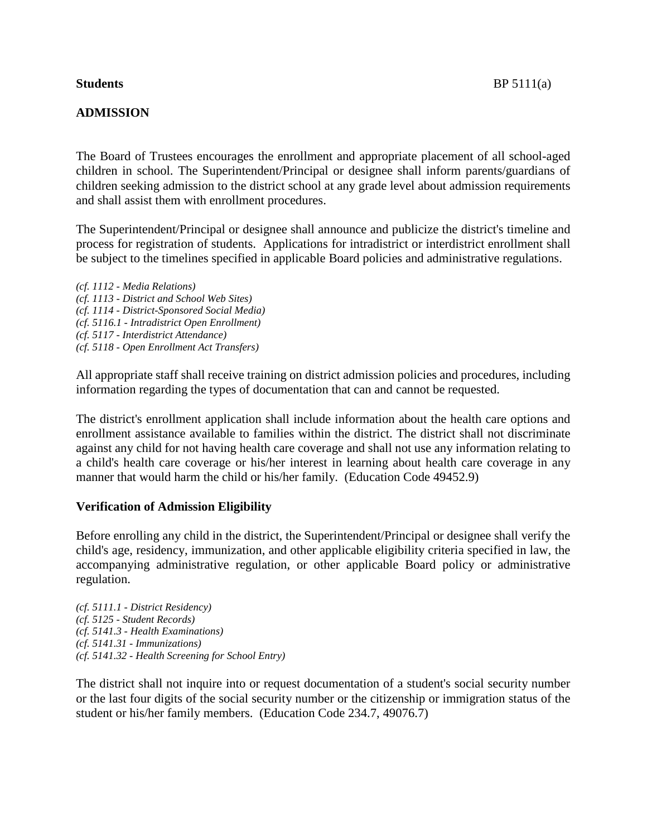# **ADMISSION**

The Board of Trustees encourages the enrollment and appropriate placement of all school-aged children in school. The Superintendent/Principal or designee shall inform parents/guardians of children seeking admission to the district school at any grade level about admission requirements and shall assist them with enrollment procedures.

The Superintendent/Principal or designee shall announce and publicize the district's timeline and process for registration of students. Applications for intradistrict or interdistrict enrollment shall be subject to the timelines specified in applicable Board policies and administrative regulations.

*(cf. 1112 - Media Relations) (cf. 1113 - District and School Web Sites) (cf. 1114 - District-Sponsored Social Media) (cf. 5116.1 - Intradistrict Open Enrollment) (cf. 5117 - Interdistrict Attendance) (cf. 5118 - Open Enrollment Act Transfers)*

All appropriate staff shall receive training on district admission policies and procedures, including information regarding the types of documentation that can and cannot be requested.

The district's enrollment application shall include information about the health care options and enrollment assistance available to families within the district. The district shall not discriminate against any child for not having health care coverage and shall not use any information relating to a child's health care coverage or his/her interest in learning about health care coverage in any manner that would harm the child or his/her family. (Education Code 49452.9)

# **Verification of Admission Eligibility**

Before enrolling any child in the district, the Superintendent/Principal or designee shall verify the child's age, residency, immunization, and other applicable eligibility criteria specified in law, the accompanying administrative regulation, or other applicable Board policy or administrative regulation.

*(cf. 5111.1 - District Residency) (cf. 5125 - Student Records) (cf. 5141.3 - Health Examinations) (cf. 5141.31 - Immunizations) (cf. 5141.32 - Health Screening for School Entry)*

The district shall not inquire into or request documentation of a student's social security number or the last four digits of the social security number or the citizenship or immigration status of the student or his/her family members. (Education Code 234.7, 49076.7)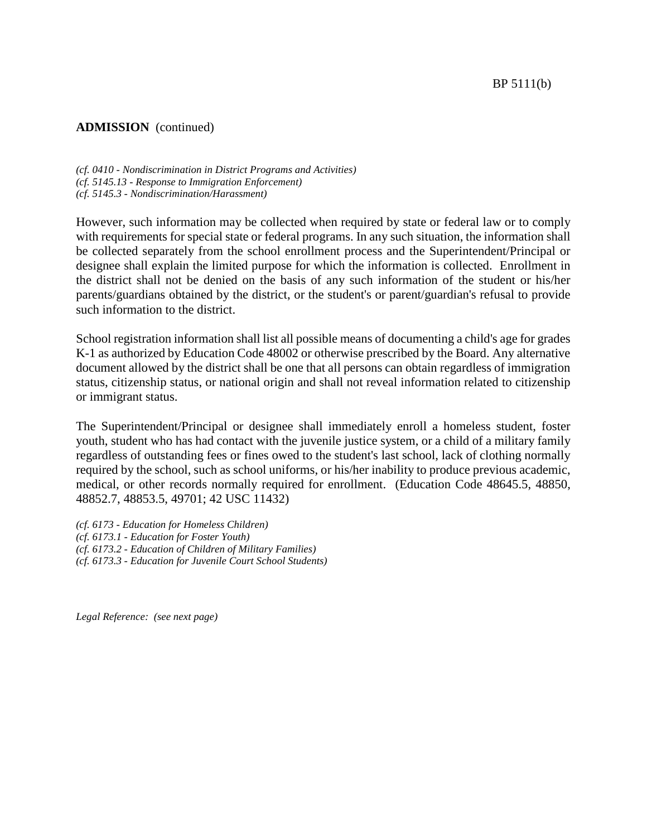BP 5111(b)

## **ADMISSION** (continued)

*(cf. 0410 - Nondiscrimination in District Programs and Activities) (cf. 5145.13 - Response to Immigration Enforcement) (cf. 5145.3 - Nondiscrimination/Harassment)*

However, such information may be collected when required by state or federal law or to comply with requirements for special state or federal programs. In any such situation, the information shall be collected separately from the school enrollment process and the Superintendent/Principal or designee shall explain the limited purpose for which the information is collected. Enrollment in the district shall not be denied on the basis of any such information of the student or his/her parents/guardians obtained by the district, or the student's or parent/guardian's refusal to provide such information to the district.

School registration information shall list all possible means of documenting a child's age for grades K-1 as authorized by Education Code 48002 or otherwise prescribed by the Board. Any alternative document allowed by the district shall be one that all persons can obtain regardless of immigration status, citizenship status, or national origin and shall not reveal information related to citizenship or immigrant status.

The Superintendent/Principal or designee shall immediately enroll a homeless student, foster youth, student who has had contact with the juvenile justice system, or a child of a military family regardless of outstanding fees or fines owed to the student's last school, lack of clothing normally required by the school, such as school uniforms, or his/her inability to produce previous academic, medical, or other records normally required for enrollment. (Education Code 48645.5, 48850, 48852.7, 48853.5, 49701; 42 USC 11432)

*(cf. 6173 - Education for Homeless Children) (cf. 6173.1 - Education for Foster Youth) (cf. 6173.2 - Education of Children of Military Families) (cf. 6173.3 - Education for Juvenile Court School Students)*

*Legal Reference: (see next page)*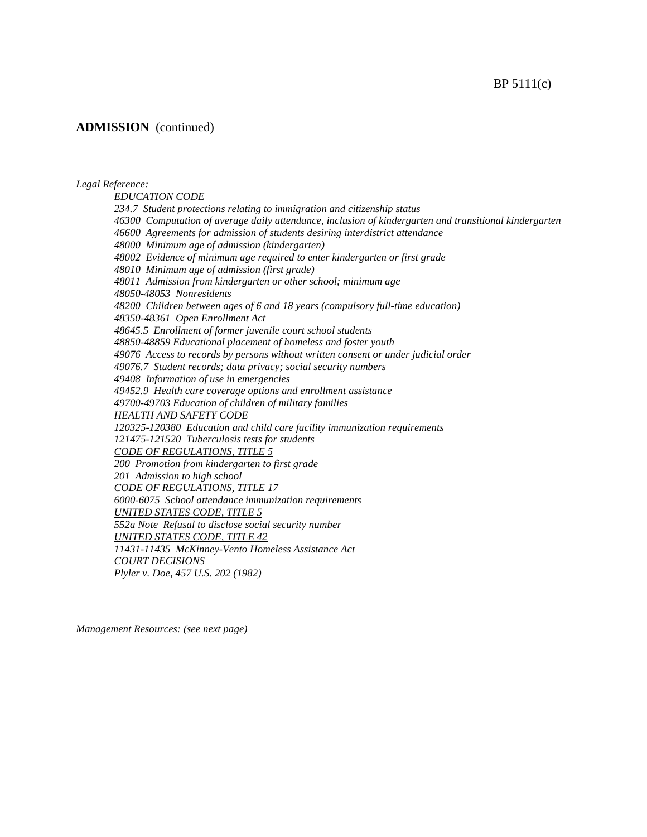### BP 5111(c)

## **ADMISSION** (continued)

#### *Legal Reference:*

*EDUCATION CODE 234.7 Student protections relating to immigration and citizenship status 46300 Computation of average daily attendance, inclusion of kindergarten and transitional kindergarten 46600 Agreements for admission of students desiring interdistrict attendance 48000 Minimum age of admission (kindergarten) 48002 Evidence of minimum age required to enter kindergarten or first grade 48010 Minimum age of admission (first grade) 48011 Admission from kindergarten or other school; minimum age 48050-48053 Nonresidents 48200 Children between ages of 6 and 18 years (compulsory full-time education) 48350-48361 Open Enrollment Act 48645.5 Enrollment of former juvenile court school students 48850-48859 Educational placement of homeless and foster youth 49076 Access to records by persons without written consent or under judicial order 49076.7 Student records; data privacy; social security numbers 49408 Information of use in emergencies 49452.9 Health care coverage options and enrollment assistance 49700-49703 Education of children of military families HEALTH AND SAFETY CODE 120325-120380 Education and child care facility immunization requirements 121475-121520 Tuberculosis tests for students CODE OF REGULATIONS, TITLE 5 200 Promotion from kindergarten to first grade 201 Admission to high school CODE OF REGULATIONS, TITLE 17 6000-6075 School attendance immunization requirements UNITED STATES CODE, TITLE 5 552a Note Refusal to disclose social security number UNITED STATES CODE, TITLE 42 11431-11435 McKinney-Vento Homeless Assistance Act COURT DECISIONS Plyler v. Doe, 457 U.S. 202 (1982)*

*Management Resources: (see next page)*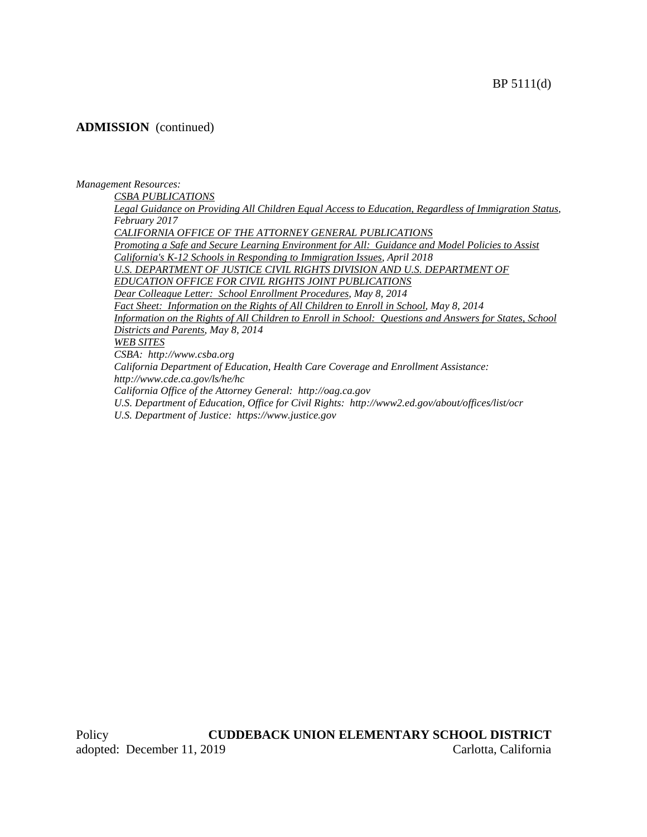## **ADMISSION** (continued)

### *Management Resources:*

*CSBA PUBLICATIONS*

*Legal Guidance on Providing All Children Equal Access to Education, Regardless of Immigration Status, February 2017 CALIFORNIA OFFICE OF THE ATTORNEY GENERAL PUBLICATIONS Promoting a Safe and Secure Learning Environment for All: Guidance and Model Policies to Assist California's K-12 Schools in Responding to Immigration Issues, April 2018* U.S. DEPARTMENT OF JUSTICE CIVIL RIGHTS DIVISION AND U.S. DEPARTMENT OF *EDUCATION OFFICE FOR CIVIL RIGHTS JOINT PUBLICATIONS Dear Colleague Letter: School Enrollment Procedures, May 8, 2014 Fact Sheet: Information on the Rights of All Children to Enroll in School, May 8, 2014 Information on the Rights of All Children to Enroll in School: Questions and Answers for States, School Districts and Parents, May 8, 2014 WEB SITES CSBA: http://www.csba.org California Department of Education, Health Care Coverage and Enrollment Assistance: http://www.cde.ca.gov/ls/he/hc California Office of the Attorney General: http://oag.ca.gov*

*U.S. Department of Education, Office for Civil Rights: http://www2.ed.gov/about/offices/list/ocr*

*U.S. Department of Justice: https://www.justice.gov*

Policy **CUDDEBACK UNION ELEMENTARY SCHOOL DISTRICT** adopted: December 11, 2019 Carlotta, California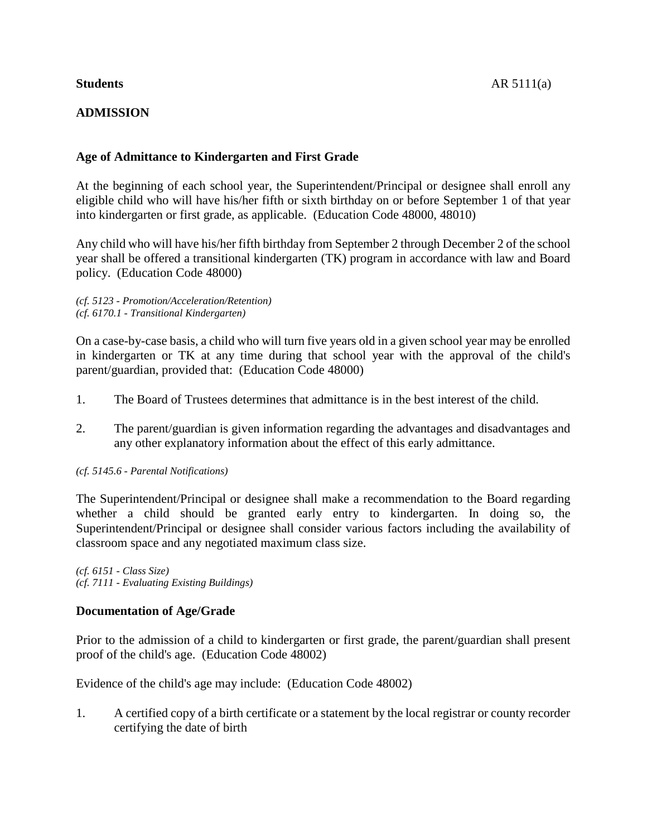# **ADMISSION**

# **Age of Admittance to Kindergarten and First Grade**

At the beginning of each school year, the Superintendent/Principal or designee shall enroll any eligible child who will have his/her fifth or sixth birthday on or before September 1 of that year into kindergarten or first grade, as applicable. (Education Code 48000, 48010)

Any child who will have his/her fifth birthday from September 2 through December 2 of the school year shall be offered a transitional kindergarten (TK) program in accordance with law and Board policy. (Education Code 48000)

*(cf. 5123 - Promotion/Acceleration/Retention) (cf. 6170.1 - Transitional Kindergarten)*

On a case-by-case basis, a child who will turn five years old in a given school year may be enrolled in kindergarten or TK at any time during that school year with the approval of the child's parent/guardian, provided that: (Education Code 48000)

- 1. The Board of Trustees determines that admittance is in the best interest of the child.
- 2. The parent/guardian is given information regarding the advantages and disadvantages and any other explanatory information about the effect of this early admittance.

## *(cf. 5145.6 - Parental Notifications)*

The Superintendent/Principal or designee shall make a recommendation to the Board regarding whether a child should be granted early entry to kindergarten. In doing so, the Superintendent/Principal or designee shall consider various factors including the availability of classroom space and any negotiated maximum class size.

*(cf. 6151 - Class Size) (cf. 7111 - Evaluating Existing Buildings)*

# **Documentation of Age/Grade**

Prior to the admission of a child to kindergarten or first grade, the parent/guardian shall present proof of the child's age. (Education Code 48002)

Evidence of the child's age may include: (Education Code 48002)

1. A certified copy of a birth certificate or a statement by the local registrar or county recorder certifying the date of birth